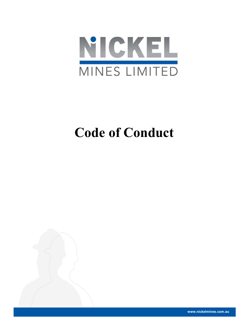

# Code of Conduct



www.nickelmines.com.au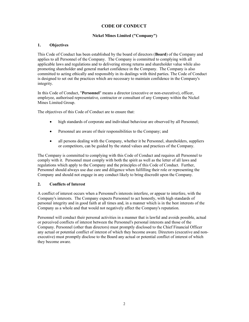# CODE OF CONDUCT

## Nickel Mines Limited ("Company")

## 1. Objectives

This Code of Conduct has been established by the board of directors (Board) of the Company and applies to all Personnel of the Company. The Company is committed to complying with all applicable laws and regulations and to delivering strong returns and shareholder value while also promoting shareholder and general market confidence in the Company. The Company is also committed to acting ethically and responsibly in its dealings with third parties. The Code of Conduct is designed to set out the practices which are necessary to maintain confidence in the Company's integrity.

In this Code of Conduct, "Personnel" means a director (executive or non-executive), officer, employee, authorised representative, contractor or consultant of any Company within the Nickel Mines Limited Group.

The objectives of this Code of Conduct are to ensure that:

- high standards of corporate and individual behaviour are observed by all Personnel;
- Personnel are aware of their responsibilities to the Company; and
- all persons dealing with the Company, whether it be Personnel, shareholders, suppliers or competitors, can be guided by the stated values and practices of the Company.

The Company is committed to complying with this Code of Conduct and requires all Personnel to comply with it. Personnel must comply with both the spirit as well as the letter of all laws and regulations which apply to the Company and the principles of this Code of Conduct. Further, Personnel should always use due care and diligence when fulfilling their role or representing the Company and should not engage in any conduct likely to bring discredit upon the Company.

## 2. Conflicts of Interest

A conflict of interest occurs when a Personnel's interests interfere, or appear to interfere, with the Company's interests. The Company expects Personnel to act honestly, with high standards of personal integrity and in good faith at all times and, in a manner which is in the best interests of the Company as a whole and that would not negatively affect the Company's reputation.

Personnel will conduct their personal activities in a manner that is lawful and avoids possible, actual or perceived conflicts of interest between the Personnel's personal interests and those of the Company. Personnel (other than directors) must promptly disclosed to the Chief Financial Officer any actual or potential conflict of interest of which they become aware. Directors (executive and nonexecutive) must promptly disclose to the Board any actual or potential conflict of interest of which they become aware.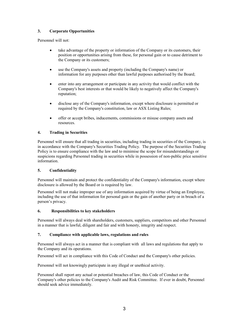# 3. Corporate Opportunities

Personnel will not:

- take advantage of the property or information of the Company or its customers, their position or opportunities arising from these, for personal gain or to cause detriment to the Company or its customers;
- use the Company's assets and property (including the Company's name) or information for any purposes other than lawful purposes authorised by the Board;
- enter into any arrangement or participate in any activity that would conflict with the Company's best interests or that would be likely to negatively affect the Company's reputation;
- disclose any of the Company's information, except where disclosure is permitted or required by the Company's constitution, law or ASX Listing Rules;
- offer or accept bribes, inducements, commissions or misuse company assets and resources.

## 4. Trading in Securities

Personnel will ensure that all trading in securities, including trading in securities of the Company, is in accordance with the Company's Securities Trading Policy. The purpose of the Securities Trading Policy is to ensure compliance with the law and to minimise the scope for misunderstandings or suspicions regarding Personnel trading in securities while in possession of non-public price sensitive information.

#### 5. Confidentiality

Personnel will maintain and protect the confidentiality of the Company's information, except where disclosure is allowed by the Board or is required by law.

Personnel will not make improper use of any information acquired by virtue of being an Employee, including the use of that information for personal gain or the gain of another party or in breach of a person's privacy.

#### 6. Responsibilities to key stakeholders

Personnel will always deal with shareholders, customers, suppliers, competitors and other Personnel in a manner that is lawful, diligent and fair and with honesty, integrity and respect.

#### 7. Compliance with applicable laws, regulations and rules

Personnel will always act in a manner that is compliant with all laws and regulations that apply to the Company and its operations.

Personnel will act in compliance with this Code of Conduct and the Company's other policies.

Personnel will not knowingly participate in any illegal or unethical activity.

Personnel shall report any actual or potential breaches of law, this Code of Conduct or the Company's other policies to the Company's Audit and Risk Committee. If ever in doubt, Personnel should seek advice immediately.